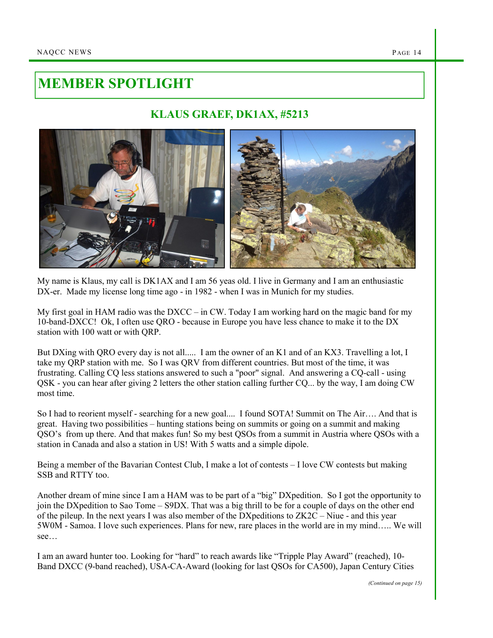## MEMBER SPOTLIGHT

## KLAUS GRAEF, DK1AX, #5213



My name is Klaus, my call is DK1AX and I am 56 yeas old. I live in Germany and I am an enthusiastic DX-er. Made my license long time ago - in 1982 - when I was in Munich for my studies.

My first goal in HAM radio was the DXCC – in CW. Today I am working hard on the magic band for my 10-band-DXCC! Ok, I often use QRO - because in Europe you have less chance to make it to the DX station with 100 watt or with QRP.

But DXing with QRO every day is not all..... I am the owner of an K1 and of an KX3. Travelling a lot, I take my QRP station with me. So I was QRV from different countries. But most of the time, it was frustrating. Calling CQ less stations answered to such a "poor" signal. And answering a CQ-call - using QSK - you can hear after giving 2 letters the other station calling further CQ... by the way, I am doing CW most time.

So I had to reorient myself - searching for a new goal.... I found SOTA! Summit on The Air…. And that is great. Having two possibilities – hunting stations being on summits or going on a summit and making QSO's from up there. And that makes fun! So my best QSOs from a summit in Austria where QSOs with a station in Canada and also a station in US! With 5 watts and a simple dipole.

Being a member of the Bavarian Contest Club, I make a lot of contests – I love CW contests but making SSB and RTTY too.

Another dream of mine since I am a HAM was to be part of a "big" DXpedition. So I got the opportunity to join the DXpedition to Sao Tome – S9DX. That was a big thrill to be for a couple of days on the other end of the pileup. In the next years I was also member of the DXpeditions to ZK2C – Niue - and this year 5W0M - Samoa. I love such experiences. Plans for new, rare places in the world are in my mind….. We will see…

I am an award hunter too. Looking for "hard" to reach awards like "Tripple Play Award" (reached), 10- Band DXCC (9-band reached), USA-CA-Award (looking for last QSOs for CA500), Japan Century Cities